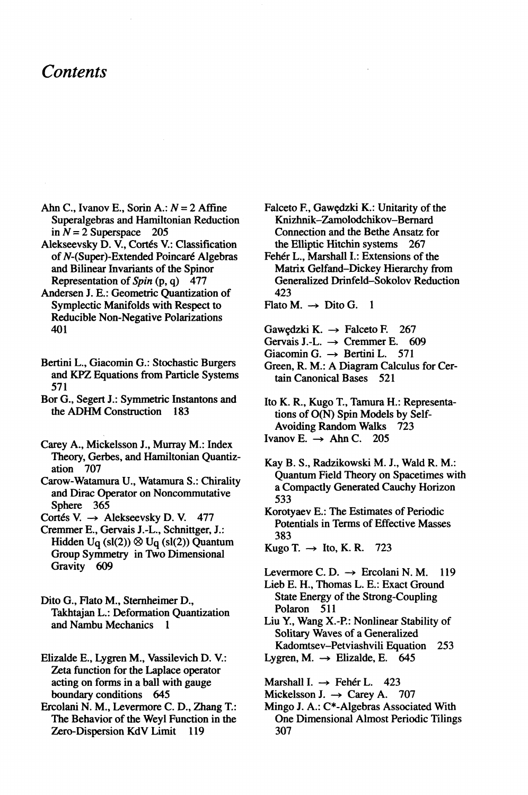### *Contents*

- Ahn C., Ivanov E., Sorin A.:  $N = 2$  Affine **Superalgebras and Hamiltonian Reduction**  $in N = 2$  Superspace 205
- Alekseevsky D. V., Cortés V.: Classification of N-(Super)-Extended Poincaré Algebras **and Bilinear Invariants of the Spinor Representation of** *Spin* **(p, q) 477**
- **Andersen J. E.: Geometric Quantization of Symplectic Manifolds with Respect to Reducible Non-Negative Polarizations 401**
- **Bertini L., Giacomin G.: Stochastic Burgers and KPZ Equations from Particle Systems 571**
- **Bor G., Segert J.: Symmetric Instantons and the ADHM Construction 183**
- **Carey A., Mickelsson J., Murray M.: Index Theory, Gerbes, and Hamiltonian Quantization 707**
- **Carow-Watamura U., Watamura S.: Chirality and Dirac Operator on Noncommutative Sphere 365**
- **Cortes V. -» Alekseevsky D. V. 477**
- **Cremmer E., Gervais J.-L., Schnittger, J.: Hidden Uq (sl(2)) ® Uq (sl(2)) Quantum Group Symmetry in Two Dimensional Gravity 609**
- **Dito G., Flato M., Sternheimer D., Takhtajan L.: Deformation Quantization and Nambu Mechanics 1**
- **Elizalde E., Lygren M., Vassilevich D. V.: Zeta function for the Laplace operator acting on forms in a ball with gauge boundary conditions 645**
- **Ercolani N. M., Levermore C. D., Zhang T.: The Behavior of the Weyl Function in the Zero-Dispersion KdV Limit 119**
- Falceto F., Gawędzki K.: Unitarity of the **Knizhnik-Zamolodchikov-Bernard Connection and the Bethe Ansatz for the Elliptic Hitchin systems 267**
- **Feher L., Marshall I.: Extensions of the Matrix Gelfand-Dickey Hierarchy from Generalized Drinfeld-Sokolov Reduction 423**
- Flato  $M. \rightarrow$  Dito G. 1
- **GawedzkiK. -» Falceto F. 267**
- **Gervais J.-L. -» Cremmer E. 609**
- **Giacomin G. —» Bertini L. 571**
- **Green, R. M.: A Diagram Calculus for Certain Canonical Bases 521**
- **Ito K. R., Kugo T, Tamura H.: Representations of O(N) Spin Models by Self-Avoiding Random Walks 723 Ivanov E.**  $\rightarrow$  Ahn C. 205
- **Kay B. S., Radzikowski M. J., Wald R. M.: Quantum Field Theory on Spacetimes with a Compactly Generated Cauchy Horizon 533**
- **Korotyaev E.: The Estimates of Periodic Potentials in Terms of Effective Masses 383**
- **Kugo T.**  $\rightarrow$  Ito, K. R. 723
- Levermore C. D.  $\rightarrow$  Ercolani N. M. 119
- **Lieb E. H., Thomas L. E.: Exact Ground State Energy of the Strong-Coupling Polaron 511**
- **Liu Y., Wang X.-R: Nonlinear Stability of Solitary Waves of a Generalized Kadomtsev-Petviashvili Equation 253**
- Lygren, M.  $\rightarrow$  Elizalde, E. 645

**Marshall I. -• Feher L. 423**

- Mickelsson J.  $\rightarrow$  Carey A. 707
- **Mingo J. A.: C\*-Algebras Associated With One Dimensional Almost Periodic Tilings 307**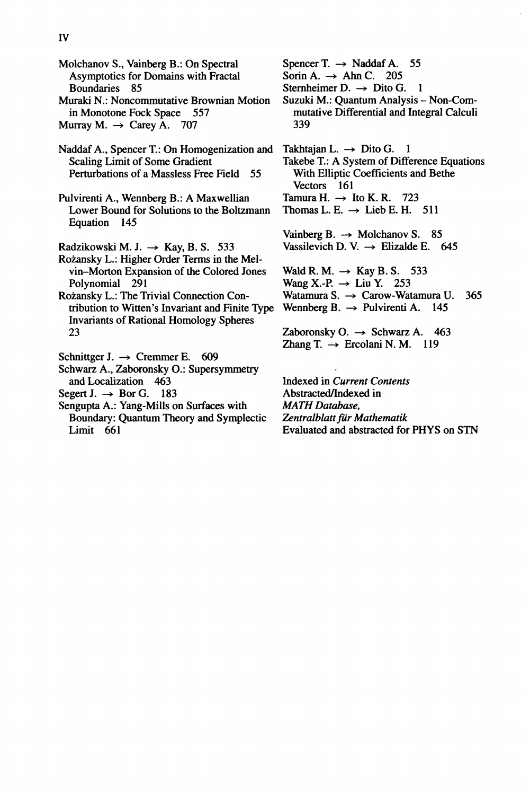- **Molchanov S., Vainberg B.: On Spectral Asymptotics for Domains with Fractal Boundaries 85 Muraki N.: Noncommutative Brownian Motion in Monotone Fock Space 557**
- Murray M.  $\rightarrow$  Carey A. 707
- **Naddaf A., Spencer T.: On Homogenization and Scaling Limit of Some Gradient Perturbations of a Massless Free Field 55**
- **Pulvirenti A., Wennberg B.: A Maxwellian Lower Bound for Solutions to the Boltzmann Equation 145**
- Radzikowski M. J.  $\rightarrow$  Kay, B. S. 533

**Rozansky L.: Higher Order Terms in the Melvin-Morton Expansion of the Colored Jones Polynomial 291**

**Rozansky L.: The Trivial Connection Contribution to Witten's Invariant and Finite Type Invariants of Rational Homology Spheres 23**

Schnittger J.  $\rightarrow$  Cremmer E. 609

- **Schwarz A., Zaboronsky O.: Supersymmetry and Localization 463**
- Segert J.  $\rightarrow$  Bor G. 183
- **Sengupta A.: Yang-Mills on Surfaces with Boundary: Quantum Theory and Symplectic Limit 661**

Spencer T.  $\rightarrow$  Naddaf A. 55 Sorin A.  $\rightarrow$  Ahn C. 205 **Sternheimer D.**  $\rightarrow$  **Dito G.** 1 **Suzuki M.: Quantum Analysis - Non-Commutative Differential and Integral Calculi 339**

Takhtajan L.  $\rightarrow$  Dito G. 1 **Takebe T: A System of Difference Equations With Elliptic Coefficients and Bethe Vectors 161** Tamura H.  $\rightarrow$  Ito K. R. 723 Thomas L. E.  $\rightarrow$  Lieb E. H. 511

**Vainberg B. -» Molchanov S. 85** Vassilevich D. V.  $\rightarrow$  Elizalde E. 645

**Wald R. M. - Kay B. S. 533 WangX.-P. - LiuY. 253 Watamura S. \* Carow-Watamura U. Wennberg B. •» Pulvirenti A. 145 365**

Zaboronsky O.  $\rightarrow$  Schwarz A. 463 Zhang T.  $\rightarrow$  Ercolani N. M. 119

**Indexed in** *Current Contents* **Abstracted/Indexed in** *MATH Database, Zentralblatt fur Mathematik* **Evaluated and abstracted for PHYS on STN**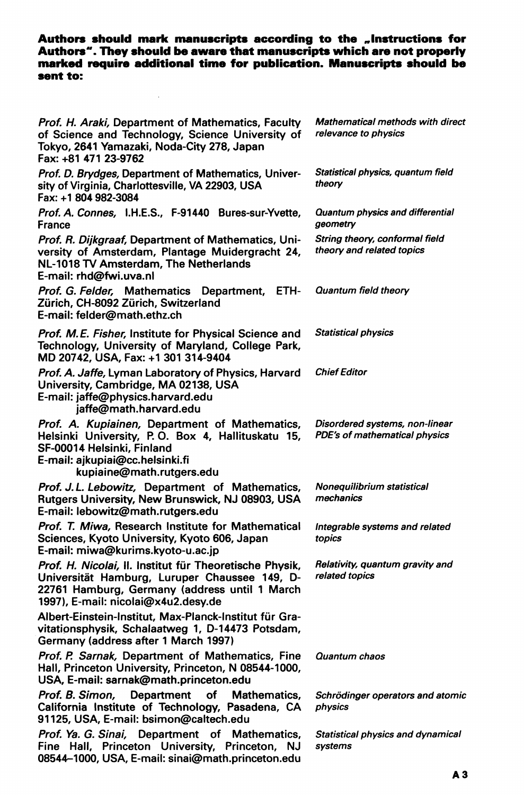**Authors should mark manuscripts according to the " Instructions for Authors". They should be aware that manuscripts which are not properly marked require additional time for publication. Manuscripts should be sent to:**

 $\hat{\boldsymbol{r}}$ 

| Prof. H. Araki, Department of Mathematics, Faculty<br>of Science and Technology, Science University of<br>Tokyo, 2641 Yamazaki, Noda-City 278, Japan<br>Fax: +81 471 23-9762                      | <b>Mathematical methods with direct</b><br>relevance to physics |
|---------------------------------------------------------------------------------------------------------------------------------------------------------------------------------------------------|-----------------------------------------------------------------|
| Prof. D. Brydges, Department of Mathematics, Univer-<br>sity of Virginia, Charlottesville, VA 22903, USA<br>Fax: +1 804 982-3084                                                                  | Statistical physics, quantum field<br>theory                    |
| Prof. A. Connes, I.H.E.S., F-91440 Bures-sur-Yvette,<br>France                                                                                                                                    | Quantum physics and differential<br>geometry                    |
| Prof. R. Dijkgraaf, Department of Mathematics, Uni-<br>versity of Amsterdam, Plantage Muidergracht 24,<br><b>NL-1018 TV Amsterdam, The Netherlands</b><br>E-mail: rhd@fwi.uva.nl                  | String theory, conformal field<br>theory and related topics     |
| ETH-<br><b>Prof. G. Felder, Mathematics</b><br>Department,<br>Zürich, CH-8092 Zürich, Switzerland<br>E-mail: felder@math.ethz.ch                                                                  | Quantum field theory                                            |
| Prof. M.E. Fisher, Institute for Physical Science and<br>Technology, University of Maryland, College Park,<br>MD 20742, USA, Fax: +1 301 314-9404                                                 | <b>Statistical physics</b>                                      |
| Prof. A. Jaffe, Lyman Laboratory of Physics, Harvard<br>University, Cambridge, MA 02138, USA<br>E-mail: jaffe@physics.harvard.edu<br>jaffe@math.harvard.edu                                       | <b>Chief Editor</b>                                             |
| Prof. A. Kupiainen, Department of Mathematics,<br>Helsinki University, P.O. Box 4, Hallituskatu 15,<br>SF-00014 Helsinki, Finland<br>E-mail: ajkupiai@cc.helsinki.fi<br>kupiaine@math.rutgers.edu | Disordered systems, non-linear<br>PDE's of mathematical physics |
| Prof. J.L. Lebowitz, Department of Mathematics,<br>Rutgers University, New Brunswick, NJ 08903, USA<br>E-mail: lebowitz@math.rutgers.edu                                                          | Nonequilibrium statistical<br>mechanics                         |
| Prof. T. Miwa, Research Institute for Mathematical<br>Sciences, Kyoto University, Kyoto 606, Japan<br>E-mail: miwa@kurims.kyoto-u.ac.jp                                                           | Integrable systems and related<br>topics                        |
| Prof. H. Nicolai, II. Institut für Theoretische Physik,<br>Universität Hamburg, Luruper Chaussee 149, D-<br>22761 Hamburg, Germany (address until 1 March<br>1997), E-mail: nicolai@x4u2.desy.de  | Relativity, quantum gravity and<br>related topics               |
| Albert-Einstein-Institut, Max-Planck-Institut für Gra-<br>vitationsphysik, Schalaatweg 1, D-14473 Potsdam,<br>Germany (address after 1 March 1997)                                                |                                                                 |
| Prof. P. Sarnak, Department of Mathematics, Fine<br>Hall, Princeton University, Princeton, N 08544-1000,<br>USA, E-mail: sarnak@math.princeton.edu                                                | Quantum chaos                                                   |
| Prof. B. Simon,<br><b>Department</b><br>of<br><b>Mathematics,</b><br>California Institute of Technology, Pasadena, CA<br>91125, USA, E-mail: bsimon@caltech.edu                                   | Schrödinger operators and atomic<br>physics                     |
| Prof. Ya. G. Sinai, Department of Mathematics,<br>Fine Hall, Princeton University,<br>Princeton, NJ<br>08544-1000, USA, E-mail: sinai@math.princeton.edu                                          | <b>Statistical physics and dynamical</b><br>systems             |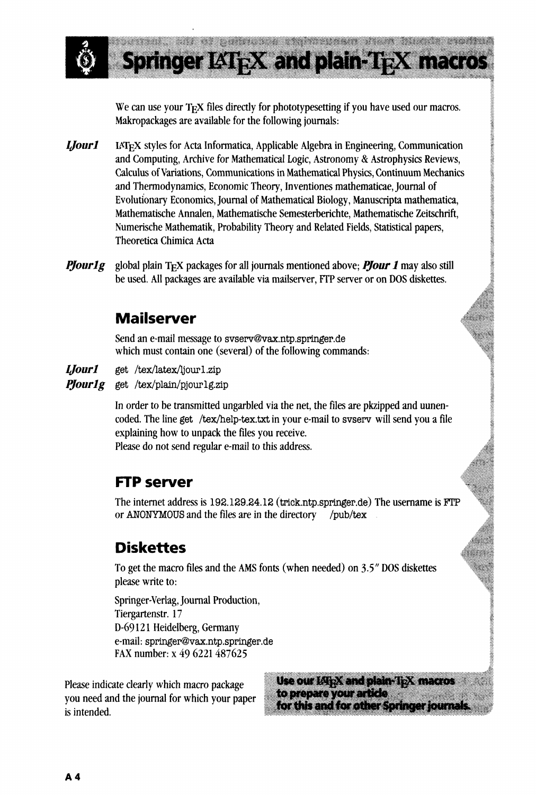

We can use your TFX files directly for phototypesetting if you have used our macros. Makropackages are available for the following journals:

- *LJour1* IAT<sub>E</sub>X styles for Acta Informatica, Applicable Algebra in Engineering, Communication and Computing, Archive for Mathematical Logic, Astronomy & Astrophysics Reviews, Calculus of Variations, Communications in Mathematical Physics, Continuum Mechanics and Thermodynamics, Economic Theory, Inventiones mathematicae, Journal of Evolutionary Economics, Journal of Mathematical Biology, Manuscripta mathematica, Mathematische Annalen, Mathematische Semesterberichte, Mathematische Zeitschrift, Numerische Mathematik, Probability Theory and Related Fields, Statistical papers, Theoretica Chimica Acta
- *PJourlg* global plain TgX packages for all journals mentioned above; *PJour 1* may also still be used. All packages are available via mailserver, FTP server or on DOS diskettes.

#### **Mailserver : ?**

Send an e-mail message to svserv@vax.ntp.springer.de which must contain one (several) of the following commands:

*LJour1* get /tex/latex/ljour1.zip

*PJourlg* get /tex/plain/pjourlg.zip

In order to be transmitted ungarbled via the net, the files are pkzipped and uunencoded. The line get /tex/help-tex.txt in your e-mail to svserv will send you a file explaining how to unpack the files you receive. Please do not send regular e-mail to this address.

## **FTP server ..;**

The internet address is 192.129.24.12 (trick.ntp.springer.de) The username is FTP or ANONYMOUS and the files are in the directory /pub/tex

## **Diskettes ^**

To get the macro files and the AMS fonts (when needed) on  $3.5$ " DOS diskettes please write to: ;\*

Springer-Verlag, Journal Production, Tiergartenstr. 17 D-69121 Heidelberg, Germany e-mail: springer@vax.ntp.springer.de FAX number: x 49 6221 487625

Please indicate clearly which macro package you need and the journal for which your paper is intended

Use our IAhX and plain-TEX macro to prepare your article for this and for other Springer journal

 $\mathcal{L}$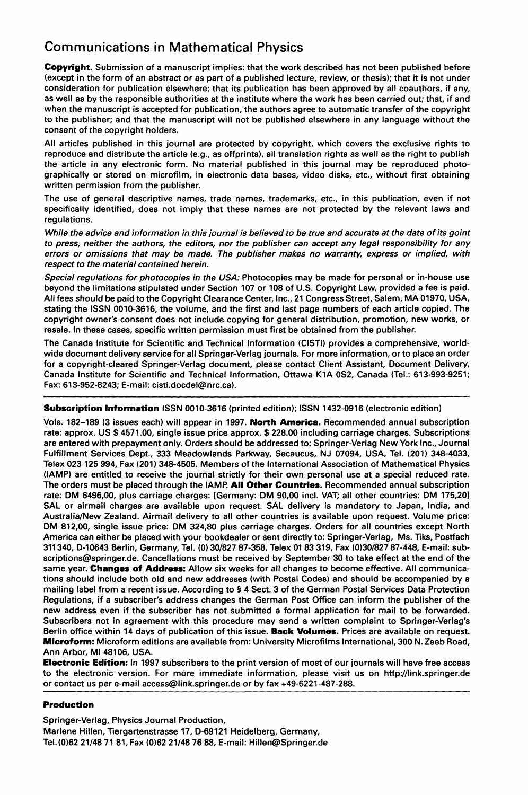#### **Communications in Mathematical Physics**

**Copyright.** Submission of a manuscript implies: that the work described has not been published before (except in the form of an abstract or as part of a published lecture, review, or thesis); that it is not under consideration for publication elsewhere; that its publication has been approved by all coauthors, if any, as well as by the responsible authorities at the institute where the work has been carried out; that, if and when the manuscript is accepted for publication, the authors agree to automatic transfer of the copyright to the publisher; and that the manuscript will not be published elsewhere in any language without the consent of the copyright holders.

All articles published in this journal are protected by copyright, which covers the exclusive rights to reproduce and distribute the article (e.g., as offprints), all translation rights as well as the right to publish the article in any electronic form. No material published in this journal may be reproduced photographically or stored on microfilm, in electronic data bases, video disks, etc., without first obtaining written permission from the publisher.

The use of general descriptive names, trade names, trademarks, etc., in this publication, even if not specifically identified, does not imply that these names are not protected by the relevant laws and regulations.

While the advice and information in this journal is believed to be true and accurate at the date of its goint to press, neither the authors, the editors, nor the publisher can accept any legal responsibility for any errors or omissions that may be made. The publisher makes no warranty, express or implied, with respect to the material contained herein.

Special regulations for photocopies in the USA: Photocopies may be made for personal or in-house use beyond the limitations stipulated under Section 107 or 108 of U.S. Copyright Law, provided a fee is paid. All fees should be paid to the Copyright Clearance Center, Inc., 21 Congress Street, Salem, MA 01970, USA, stating the ISSN 0010-3616, the volume, and the first and last page numbers of each article copied. The copyright owner's consent does not include copying for general distribution, promotion, new works, or resale. In these cases, specific written permission must first be obtained from the publisher.

The Canada Institute for Scientific and Technical Information (CISTI) provides a comprehensive, worldwide document delivery service for all Springer-Verlag journals. For more information, or to place an order for a copyright-cleared Springer-Verlag document, please contact Client Assistant, Document Delivery, Canada Institute for Scientific and Technical Information, Ottawa K1A 0S2, Canada (Tel.: 613-993-9251; Fax: 613-952-8243; E-mail: cisti.docdel@nrc.ca).

#### **Subscription Information** ISSN 0010-3616 (printed edition); ISSN 1432-0916 (electronic edition)

Vols. 182-189 (3 issues each) will appear in 1997. **North America.** Recommended annual subscription rate: approx. US \$ 4571.00, single issue price approx. \$ 228.00 including carriage charges. Subscriptions are entered with prepayment only. Orders should be addressed to: Springer-Verlag New York Inc., Journal Fulfillment Services Dept, 333 Meadowlands Parkway, Secaucus, NJ 07094, USA, Tel. (201) 348-4033, Telex 023 125 994, Fax (201) 348-4505. Members of the International Association of Mathematical Physics (IAMP) are entitled to receive the journal strictly for their own personal use at a special reduced rate. The orders must be placed through the IAMP. **All Other Countries.** Recommended annual subscription rate: DM 6496,00, plus carriage charges: [Germany: DM 90,00 incl. VAT; all other countries: DM 175,20] SAL or airmail charges are available upon request. SAL delivery is mandatory to Japan, India, and Australia/New Zealand. Airmail delivery to all other countries is available upon request. Volume price: DM 812,00, single issue price: DM 324,80 plus carriage charges. Orders for all countries except North America can either be placed with your bookdealer or sent directly to: Springer-Verlag, Ms. Tiks, Postfach 311340, D-10643 Berlin, Germany, Tel. (0) 30/827 87-358, Telex 01 83 319, Fax (0)30/827 87-448, E-mail: subscriptions@springer.de. Cancellations must be received by September 30 to take effect at the end of the same year. **Changes of Address:** Allow six weeks for all changes to become effective. All communications should include both old and new addresses (with Postal Codes) and should be accompanied by a mailing label from a recent issue. According to § 4 Sect. 3 of the German Postal Services Data Protection Regulations, if a subscriber's address changes the German Post Office can inform the publisher of the new address even if the subscriber has not submitted a formal application for mail to be forwarded. Subscribers not in agreement with this procedure may send a written complaint to Springer-Verlag's Berlin office within 14 days of publication of this issue. **Back Volumes.** Prices are available on request. **Microform:** Microform editions are available from: University Microfilms International, 300 N. Zeeb Road, Ann Arbor, Ml 48106, USA.

**Electronic Edition:** In 1997 subscribers to the print version of most of our journals will have free access to the electronic version. For more immediate information, please visit us on http://link.springer.de or contact us per e-mail access@link.springer.de or by fax +49-6221-487-288.

#### **Production**

Springer-Verlag, Physics Journal Production, Marlene Hillen, Tiergartenstrasse 17, D-69121 Heidelberg, Germany, Tel.(0)62 21/48 71 81, Fax (0)62 21/48 76 88, E-mail: Hillen@Springer.de